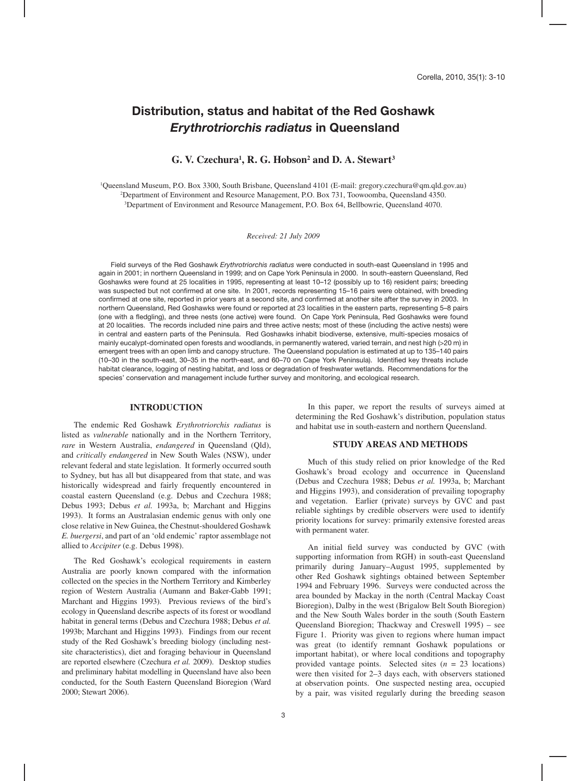# **Distribution, status and habitat of the Red Goshawk** *Erythrotriorchis radiatus* **in Queensland**

# G. V. Czechura<sup>1</sup>, R. G. Hobson<sup>2</sup> and D. A. Stewart<sup>3</sup>

1 Queensland Museum, P.O. Box 3300, South Brisbane, Queensland 4101 (E-mail: gregory.czechura@qm.qld.gov.au) 2 Department of Environment and Resource Management, P.O. Box 731, Toowoomba, Queensland 4350. 3 Department of Environment and Resource Management, P.O. Box 64, Bellbowrie, Queensland 4070.

*Received: 21 July 2009*

Field surveys of the Red Goshawk *Erythrotriorchis radiatus* were conducted in south-east Queensland in 1995 and again in 2001; in northern Queensland in 1999; and on Cape York Peninsula in 2000. In south-eastern Queensland, Red Goshawks were found at 25 localities in 1995, representing at least 10–12 (possibly up to 16) resident pairs; breeding was suspected but not confirmed at one site. In 2001, records representing 15-16 pairs were obtained, with breeding confirmed at one site, reported in prior years at a second site, and confirmed at another site after the survey in 2003. In northern Queensland, Red Goshawks were found or reported at 23 localities in the eastern parts, representing 5–8 pairs (one with a fledgling), and three nests (one active) were found. On Cape York Peninsula, Red Goshawks were found at 20 localities. The records included nine pairs and three active nests; most of these (including the active nests) were in central and eastern parts of the Peninsula. Red Goshawks inhabit biodiverse, extensive, multi-species mosaics of mainly eucalypt-dominated open forests and woodlands, in permanently watered, varied terrain, and nest high (>20 m) in emergent trees with an open limb and canopy structure. The Queensland population is estimated at up to 135–140 pairs (10-30 in the south-east, 30-35 in the north-east, and 60-70 on Cape York Peninsula). Identified key threats include habitat clearance, logging of nesting habitat, and loss or degradation of freshwater wetlands. Recommendations for the species' conservation and management include further survey and monitoring, and ecological research.

#### **INTRODUCTION**

The endemic Red Goshawk *Erythrotriorchis radiatus* is listed as *vulnerable* nationally and in the Northern Territory, *rare* in Western Australia, *endangered* in Queensland (Qld), and *critically endangered* in New South Wales (NSW), under relevant federal and state legislation. It formerly occurred south to Sydney, but has all but disappeared from that state, and was historically widespread and fairly frequently encountered in coastal eastern Queensland (e.g. Debus and Czechura 1988; Debus 1993; Debus *et al.* 1993a, b; Marchant and Higgins 1993). It forms an Australasian endemic genus with only one close relative in New Guinea, the Chestnut-shouldered Goshawk *E. buergersi*, and part of an 'old endemic' raptor assemblage not allied to *Accipiter* (e.g. Debus 1998).

The Red Goshawk's ecological requirements in eastern Australia are poorly known compared with the information collected on the species in the Northern Territory and Kimberley region of Western Australia (Aumann and Baker-Gabb 1991; Marchant and Higgins 1993). Previous reviews of the bird's ecology in Queensland describe aspects of its forest or woodland habitat in general terms (Debus and Czechura 1988; Debus *et al.* 1993b; Marchant and Higgins 1993). Findings from our recent study of the Red Goshawk's breeding biology (including nestsite characteristics), diet and foraging behaviour in Queensland are reported elsewhere (Czechura *et al.* 2009). Desktop studies and preliminary habitat modelling in Queensland have also been conducted, for the South Eastern Queensland Bioregion (Ward 2000; Stewart 2006).

In this paper, we report the results of surveys aimed at determining the Red Goshawk's distribution, population status and habitat use in south-eastern and northern Queensland.

# **STUDY AREAS AND METHODS**

Much of this study relied on prior knowledge of the Red Goshawk's broad ecology and occurrence in Queensland (Debus and Czechura 1988; Debus *et al.* 1993a, b; Marchant and Higgins 1993), and consideration of prevailing topography and vegetation. Earlier (private) surveys by GVC and past reliable sightings by credible observers were used to identify priority locations for survey: primarily extensive forested areas with permanent water.

An initial field survey was conducted by GVC (with supporting information from RGH) in south-east Queensland primarily during January–August 1995, supplemented by other Red Goshawk sightings obtained between September 1994 and February 1996. Surveys were conducted across the area bounded by Mackay in the north (Central Mackay Coast Bioregion), Dalby in the west (Brigalow Belt South Bioregion) and the New South Wales border in the south (South Eastern Queensland Bioregion; Thackway and Creswell 1995) – see Figure 1. Priority was given to regions where human impact was great (to identify remnant Goshawk populations or important habitat), or where local conditions and topography provided vantage points. Selected sites (*n* = 23 locations) were then visited for 2–3 days each, with observers stationed at observation points. One suspected nesting area, occupied by a pair, was visited regularly during the breeding season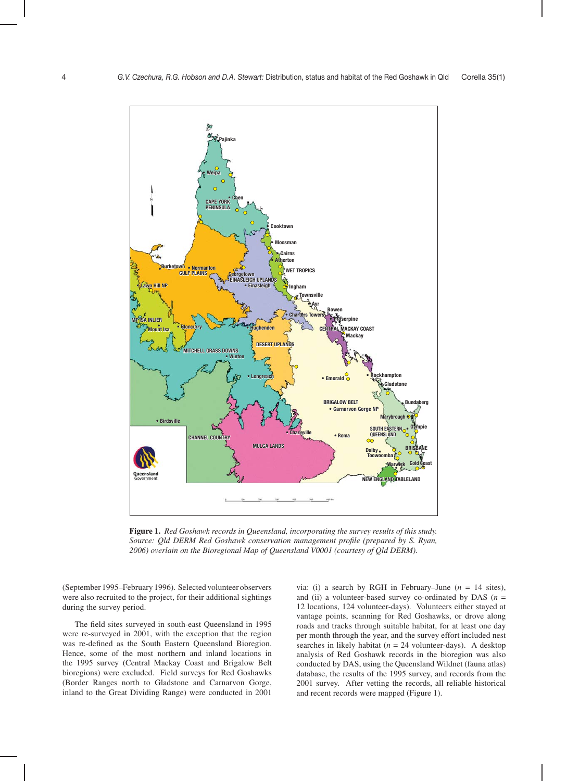

**Figure 1.** *Red Goshawk records in Queensland, incorporating the survey results of this study. Source: Qld DERM Red Goshawk conservation management profile (prepared by S. Ryan, 2006) overlain on the Bioregional Map of Queensland V0001 (courtesy of Qld DERM).*

(September 1995–February 1996). Selected volunteer observers were also recruited to the project, for their additional sightings during the survey period.

The field sites surveyed in south-east Queensland in 1995 were re-surveyed in 2001, with the exception that the region was re-defined as the South Eastern Queensland Bioregion. Hence, some of the most northern and inland locations in the 1995 survey (Central Mackay Coast and Brigalow Belt bioregions) were excluded. Field surveys for Red Goshawks (Border Ranges north to Gladstone and Carnarvon Gorge, inland to the Great Dividing Range) were conducted in 2001 via: (i) a search by RGH in February–June  $(n = 14 \text{ sites})$ , and (ii) a volunteer-based survey co-ordinated by DAS ( $n =$ 12 locations, 124 volunteer-days). Volunteers either stayed at vantage points, scanning for Red Goshawks, or drove along roads and tracks through suitable habitat, for at least one day per month through the year, and the survey effort included nest searches in likely habitat ( $n = 24$  volunteer-days). A desktop analysis of Red Goshawk records in the bioregion was also conducted by DAS, using the Queensland Wildnet (fauna atlas) database, the results of the 1995 survey, and records from the 2001 survey. After vetting the records, all reliable historical and recent records were mapped (Figure 1).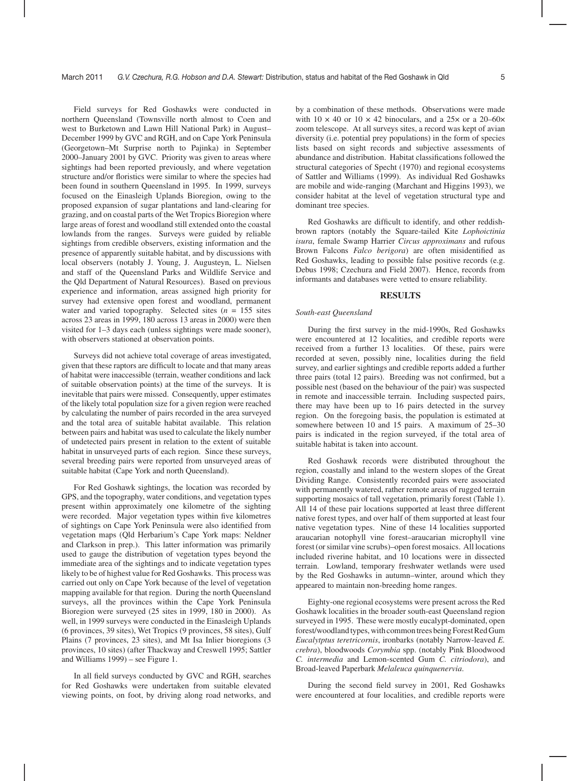Field surveys for Red Goshawks were conducted in northern Queensland (Townsville north almost to Coen and west to Burketown and Lawn Hill National Park) in August– December 1999 by GVC and RGH, and on Cape York Peninsula (Georgetown–Mt Surprise north to Pajinka) in September 2000–January 2001 by GVC. Priority was given to areas where sightings had been reported previously, and where vegetation structure and/or floristics were similar to where the species had been found in southern Queensland in 1995. In 1999, surveys focused on the Einasleigh Uplands Bioregion, owing to the proposed expansion of sugar plantations and land-clearing for grazing, and on coastal parts of the Wet Tropics Bioregion where large areas of forest and woodland still extended onto the coastal lowlands from the ranges. Surveys were guided by reliable sightings from credible observers, existing information and the presence of apparently suitable habitat, and by discussions with local observers (notably J. Young, J. Augusteyn, L. Nielsen and staff of the Queensland Parks and Wildlife Service and the Qld Department of Natural Resources). Based on previous experience and information, areas assigned high priority for survey had extensive open forest and woodland, permanent water and varied topography. Selected sites  $(n = 155$  sites across 23 areas in 1999, 180 across 13 areas in 2000) were then visited for 1–3 days each (unless sightings were made sooner), with observers stationed at observation points.

Surveys did not achieve total coverage of areas investigated, given that these raptors are difficult to locate and that many areas of habitat were inaccessible (terrain, weather conditions and lack of suitable observation points) at the time of the surveys. It is inevitable that pairs were missed. Consequently, upper estimates of the likely total population size for a given region were reached by calculating the number of pairs recorded in the area surveyed and the total area of suitable habitat available. This relation between pairs and habitat was used to calculate the likely number of undetected pairs present in relation to the extent of suitable habitat in unsurveyed parts of each region. Since these surveys, several breeding pairs were reported from unsurveyed areas of suitable habitat (Cape York and north Queensland).

For Red Goshawk sightings, the location was recorded by GPS, and the topography, water conditions, and vegetation types present within approximately one kilometre of the sighting were recorded. Major vegetation types within five kilometres of sightings on Cape York Peninsula were also identified from vegetation maps (Qld Herbarium's Cape York maps: Neldner and Clarkson in prep.). This latter information was primarily used to gauge the distribution of vegetation types beyond the immediate area of the sightings and to indicate vegetation types likely to be of highest value for Red Goshawks. This process was carried out only on Cape York because of the level of vegetation mapping available for that region. During the north Queensland surveys, all the provinces within the Cape York Peninsula Bioregion were surveyed (25 sites in 1999, 180 in 2000). As well, in 1999 surveys were conducted in the Einasleigh Uplands (6 provinces, 39 sites), Wet Tropics (9 provinces, 58 sites), Gulf Plains (7 provinces, 23 sites), and Mt Isa Inlier bioregions (3 provinces, 10 sites) (after Thackway and Creswell 1995; Sattler and Williams 1999) – see Figure 1.

In all field surveys conducted by GVC and RGH, searches for Red Goshawks were undertaken from suitable elevated viewing points, on foot, by driving along road networks, and by a combination of these methods. Observations were made with  $10 \times 40$  or  $10 \times 42$  binoculars, and a  $25 \times$  or a  $20-60 \times$ zoom telescope. At all surveys sites, a record was kept of avian diversity (i.e. potential prey populations) in the form of species lists based on sight records and subjective assessments of abundance and distribution. Habitat classifications followed the structural categories of Specht (1970) and regional ecosystems of Sattler and Williams (1999). As individual Red Goshawks are mobile and wide-ranging (Marchant and Higgins 1993), we consider habitat at the level of vegetation structural type and dominant tree species.

Red Goshawks are difficult to identify, and other reddishbrown raptors (notably the Square-tailed Kite *Lophoictinia isura*, female Swamp Harrier *Circus approximans* and rufous Brown Falcons *Falco berigora*) are often misidentified as Red Goshawks, leading to possible false positive records (e.g. Debus 1998; Czechura and Field 2007). Hence, records from informants and databases were vetted to ensure reliability.

# **RESULTS**

#### *South-east Queensland*

During the first survey in the mid-1990s, Red Goshawks were encountered at 12 localities, and credible reports were received from a further 13 localities. Of these, pairs were recorded at seven, possibly nine, localities during the field survey, and earlier sightings and credible reports added a further three pairs (total 12 pairs). Breeding was not confirmed, but a possible nest (based on the behaviour of the pair) was suspected in remote and inaccessible terrain. Including suspected pairs, there may have been up to 16 pairs detected in the survey region. On the foregoing basis, the population is estimated at somewhere between 10 and 15 pairs. A maximum of 25–30 pairs is indicated in the region surveyed, if the total area of suitable habitat is taken into account.

Red Goshawk records were distributed throughout the region, coastally and inland to the western slopes of the Great Dividing Range. Consistently recorded pairs were associated with permanently watered, rather remote areas of rugged terrain supporting mosaics of tall vegetation, primarily forest (Table 1). All 14 of these pair locations supported at least three different native forest types, and over half of them supported at least four native vegetation types. Nine of these 14 localities supported araucarian notophyll vine forest–araucarian microphyll vine forest (or similar vine scrubs)–open forest mosaics. All locations included riverine habitat, and 10 locations were in dissected terrain. Lowland, temporary freshwater wetlands were used by the Red Goshawks in autumn–winter, around which they appeared to maintain non-breeding home ranges.

Eighty-one regional ecosystems were present across the Red Goshawk localities in the broader south-east Queensland region surveyed in 1995. These were mostly eucalypt-dominated, open forest/woodland types, with common trees being Forest Red Gum *Eucalytptus teretricornis*, ironbarks (notably Narrow-leaved *E. crebra*), bloodwoods *Corymbia* spp. (notably Pink Bloodwood *C. intermedia* and Lemon-scented Gum *C. citriodora*), and Broad-leaved Paperbark *Melaleuca quinquenervia*.

During the second field survey in 2001, Red Goshawks were encountered at four localities, and credible reports were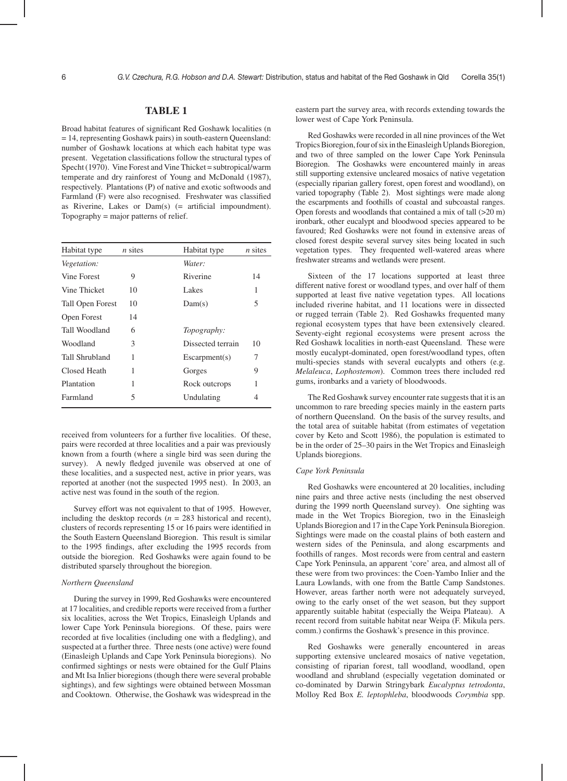# **TABLE 1**

Broad habitat features of significant Red Goshawk localities (n = 14, representing Goshawk pairs) in south-eastern Queensland: number of Goshawk locations at which each habitat type was present. Vegetation classifications follow the structural types of Specht (1970). Vine Forest and Vine Thicket = subtropical/warm temperate and dry rainforest of Young and McDonald (1987), respectively. Plantations (P) of native and exotic softwoods and Farmland (F) were also recognised. Freshwater was classified as Riverine, Lakes or  $Dam(s)$  (= artificial impoundment). Topography = major patterns of relief.

| Habitat type       | $n$ sites | Habitat type       | $n$ sites |
|--------------------|-----------|--------------------|-----------|
| <i>Vegetation:</i> |           | Water:             |           |
| Vine Forest        | 9         | Riverine           | 14        |
| Vine Thicket       | 10        | Lakes              | 1         |
| Tall Open Forest   | 10        | Dam(s)             | 5         |
| Open Forest        | 14        |                    |           |
| Tall Woodland      | 6         | <i>Topography:</i> |           |
| Woodland           | 3         | Dissected terrain  | 10        |
| Tall Shrubland     | 1         | Escarpment(s)      | 7         |
| Closed Heath       | 1         | Gorges             | 9         |
| Plantation         | 1         | Rock outcrops      | 1         |
| Farmland           | 5         | Undulating         | 4         |

received from volunteers for a further five localities. Of these, pairs were recorded at three localities and a pair was previously known from a fourth (where a single bird was seen during the survey). A newly fledged juvenile was observed at one of these localities, and a suspected nest, active in prior years, was reported at another (not the suspected 1995 nest). In 2003, an active nest was found in the south of the region.

Survey effort was not equivalent to that of 1995. However, including the desktop records  $(n = 283$  historical and recent), clusters of records representing 15 or 16 pairs were identified in the South Eastern Queensland Bioregion. This result is similar to the 1995 findings, after excluding the 1995 records from outside the bioregion. Red Goshawks were again found to be distributed sparsely throughout the bioregion.

### *Northern Queensland*

During the survey in 1999, Red Goshawks were encountered at 17 localities, and credible reports were received from a further six localities, across the Wet Tropics, Einasleigh Uplands and lower Cape York Peninsula bioregions. Of these, pairs were recorded at five localities (including one with a fledgling), and suspected at a further three. Three nests (one active) were found (Einasleigh Uplands and Cape York Peninsula bioregions). No confirmed sightings or nests were obtained for the Gulf Plains and Mt Isa Inlier bioregions (though there were several probable sightings), and few sightings were obtained between Mossman and Cooktown. Otherwise, the Goshawk was widespread in the eastern part the survey area, with records extending towards the lower west of Cape York Peninsula.

Red Goshawks were recorded in all nine provinces of the Wet Tropics Bioregion, four of six in the Einasleigh Uplands Bioregion, and two of three sampled on the lower Cape York Peninsula Bioregion. The Goshawks were encountered mainly in areas still supporting extensive uncleared mosaics of native vegetation (especially riparian gallery forest, open forest and woodland), on varied topography (Table 2). Most sightings were made along the escarpments and foothills of coastal and subcoastal ranges. Open forests and woodlands that contained a mix of tall (>20 m) ironbark, other eucalypt and bloodwood species appeared to be favoured; Red Goshawks were not found in extensive areas of closed forest despite several survey sites being located in such vegetation types. They frequented well-watered areas where freshwater streams and wetlands were present.

Sixteen of the 17 locations supported at least three different native forest or woodland types, and over half of them supported at least five native vegetation types. All locations included riverine habitat, and 11 locations were in dissected or rugged terrain (Table 2). Red Goshawks frequented many regional ecosystem types that have been extensively cleared. Seventy-eight regional ecosystems were present across the Red Goshawk localities in north-east Queensland. These were mostly eucalypt-dominated, open forest/woodland types, often multi-species stands with several eucalypts and others (e.g. *Melaleuca*, *Lophostemon*). Common trees there included red gums, ironbarks and a variety of bloodwoods.

The Red Goshawk survey encounter rate suggests that it is an uncommon to rare breeding species mainly in the eastern parts of northern Queensland. On the basis of the survey results, and the total area of suitable habitat (from estimates of vegetation cover by Keto and Scott 1986), the population is estimated to be in the order of 25–30 pairs in the Wet Tropics and Einasleigh Uplands bioregions.

## *Cape York Peninsula*

Red Goshawks were encountered at 20 localities, including nine pairs and three active nests (including the nest observed during the 1999 north Queensland survey). One sighting was made in the Wet Tropics Bioregion, two in the Einasleigh Uplands Bioregion and 17 in the Cape York Peninsula Bioregion. Sightings were made on the coastal plains of both eastern and western sides of the Peninsula, and along escarpments and foothills of ranges. Most records were from central and eastern Cape York Peninsula, an apparent 'core' area, and almost all of these were from two provinces: the Coen-Yambo Inlier and the Laura Lowlands, with one from the Battle Camp Sandstones. However, areas farther north were not adequately surveyed, owing to the early onset of the wet season, but they support apparently suitable habitat (especially the Weipa Plateau). A recent record from suitable habitat near Weipa (F. Mikula pers. comm.) confirms the Goshawk's presence in this province.

Red Goshawks were generally encountered in areas supporting extensive uncleared mosaics of native vegetation, consisting of riparian forest, tall woodland, woodland, open woodland and shrubland (especially vegetation dominated or co-dominated by Darwin Stringybark *Eucalyptus tetrodonta*, Molloy Red Box *E. leptophleba*, bloodwoods *Corymbia* spp.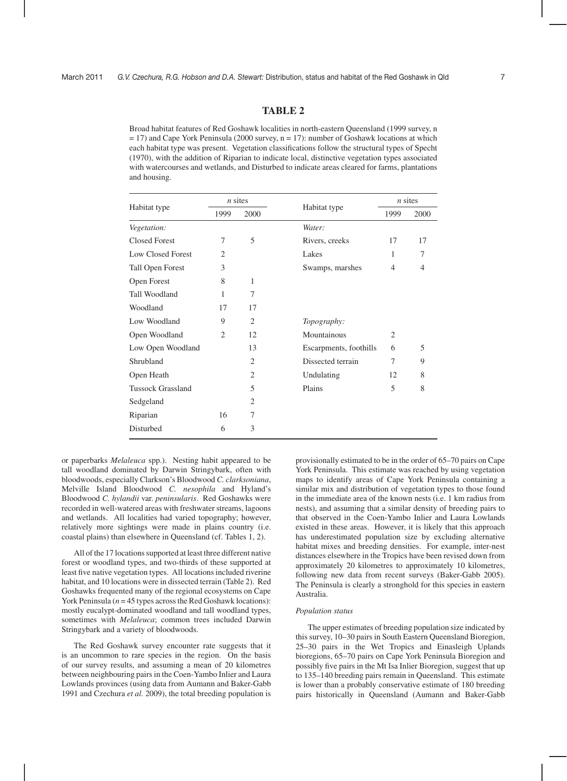# **TABLE 2**

Broad habitat features of Red Goshawk localities in north-eastern Queensland (1999 survey, n  $= 17$ ) and Cape York Peninsula (2000 survey,  $n = 17$ ): number of Goshawk locations at which each habitat type was present. Vegetation classifications follow the structural types of Specht (1970), with the addition of Riparian to indicate local, distinctive vegetation types associated with watercourses and wetlands, and Disturbed to indicate areas cleared for farms, plantations and housing.

| Habitat type             | $n$ sites      |                |                        | $n$ sites      |      |
|--------------------------|----------------|----------------|------------------------|----------------|------|
|                          | 1999           | 2000           | Habitat type           | 1999           | 2000 |
| Vegetation:              |                |                | Water:                 |                |      |
| <b>Closed Forest</b>     | 7              | 5              | Rivers, creeks         | 17             | 17   |
| <b>Low Closed Forest</b> | 2              |                | Lakes                  | 1              | 7    |
| <b>Tall Open Forest</b>  | 3              |                | Swamps, marshes        | 4              | 4    |
| Open Forest              | 8              | 1              |                        |                |      |
| Tall Woodland            | 1              | 7              |                        |                |      |
| Woodland                 | 17             | 17             |                        |                |      |
| Low Woodland             | 9              | 2              | Topography:            |                |      |
| Open Woodland            | $\overline{2}$ | 12             | Mountainous            | $\overline{c}$ |      |
| Low Open Woodland        |                | 13             | Escarpments, foothills | 6              | 5    |
| Shrubland                |                | $\overline{2}$ | Dissected terrain      | 7              | 9    |
| Open Heath               |                | $\overline{2}$ | Undulating             | 12             | 8    |
| <b>Tussock Grassland</b> |                | 5              | Plains                 | 5              | 8    |
| Sedgeland                |                | $\overline{2}$ |                        |                |      |
| Riparian                 | 16             | 7              |                        |                |      |
| Disturbed                | 6              | 3              |                        |                |      |

or paperbarks *Melaleuca* spp.). Nesting habit appeared to be tall woodland dominated by Darwin Stringybark, often with bloodwoods, especially Clarkson's Bloodwood *C. clarksoniana*, Melville Island Bloodwood *C. nesophila* and Hyland's Bloodwood *C. hylandii* var. *peninsularis*. Red Goshawks were recorded in well-watered areas with freshwater streams, lagoons and wetlands. All localities had varied topography; however, relatively more sightings were made in plains country (i.e. coastal plains) than elsewhere in Queensland (cf. Tables 1, 2).

All of the 17 locations supported at least three different native forest or woodland types, and two-thirds of these supported at least five native vegetation types. All locations included riverine habitat, and 10 locations were in dissected terrain (Table 2). Red Goshawks frequented many of the regional ecosystems on Cape York Peninsula ( $n = 45$  types across the Red Goshawk locations): mostly eucalypt-dominated woodland and tall woodland types, sometimes with *Melaleuca*; common trees included Darwin Stringybark and a variety of bloodwoods.

The Red Goshawk survey encounter rate suggests that it is an uncommon to rare species in the region. On the basis of our survey results, and assuming a mean of 20 kilometres between neighbouring pairs in the Coen-Yambo Inlier and Laura Lowlands provinces (using data from Aumann and Baker-Gabb 1991 and Czechura *et al.* 2009), the total breeding population is

provisionally estimated to be in the order of 65–70 pairs on Cape York Peninsula. This estimate was reached by using vegetation maps to identify areas of Cape York Peninsula containing a similar mix and distribution of vegetation types to those found in the immediate area of the known nests (i.e. 1 km radius from nests), and assuming that a similar density of breeding pairs to that observed in the Coen-Yambo Inlier and Laura Lowlands existed in these areas. However, it is likely that this approach has underestimated population size by excluding alternative habitat mixes and breeding densities. For example, inter-nest distances elsewhere in the Tropics have been revised down from approximately 20 kilometres to approximately 10 kilometres, following new data from recent surveys (Baker-Gabb 2005). The Peninsula is clearly a stronghold for this species in eastern Australia.

#### *Population status*

The upper estimates of breeding population size indicated by this survey, 10–30 pairs in South Eastern Queensland Bioregion, 25–30 pairs in the Wet Tropics and Einasleigh Uplands bioregions, 65–70 pairs on Cape York Peninsula Bioregion and possibly five pairs in the Mt Isa Inlier Bioregion, suggest that up to 135–140 breeding pairs remain in Queensland. This estimate is lower than a probably conservative estimate of 180 breeding pairs historically in Queensland (Aumann and Baker-Gabb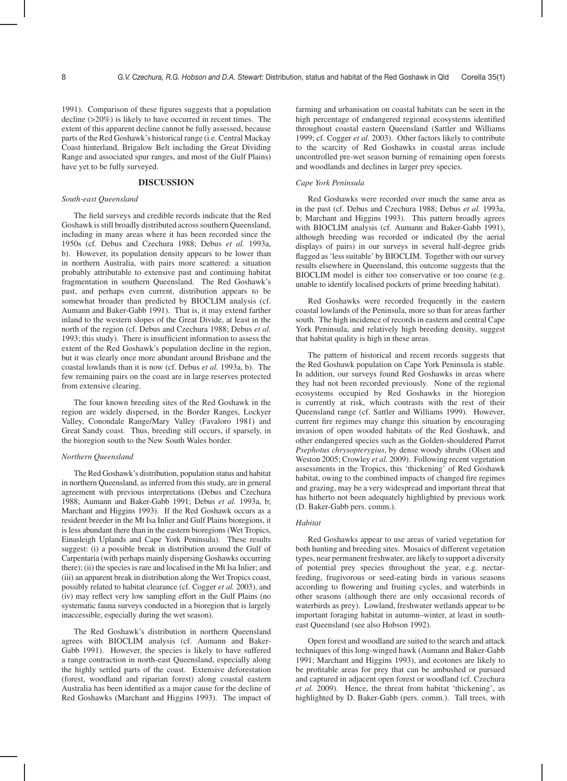1991). Comparison of these figures suggests that a population decline (>20%) is likely to have occurred in recent times. The extent of this apparent decline cannot be fully assessed, because parts of the Red Goshawk's historical range (i.e. Central Mackay Coast hinterland, Brigalow Belt including the Great Dividing Range and associated spur ranges, and most of the Gulf Plains) have yet to be fully surveyed.

# **DISCUSSION**

### *South-east Queensland*

The field surveys and credible records indicate that the Red Goshawk is still broadly distributed across southern Queensland, including in many areas where it has been recorded since the 1950s (cf. Debus and Czechura 1988; Debus *et al.* 1993a, b). However, its population density appears to be lower than in northern Australia, with pairs more scattered: a situation probably attributable to extensive past and continuing habitat fragmentation in southern Queensland. The Red Goshawk's past, and perhaps even current, distribution appears to be somewhat broader than predicted by BIOCLIM analysis (cf. Aumann and Baker-Gabb 1991). That is, it may extend farther inland to the western slopes of the Great Divide, at least in the north of the region (cf. Debus and Czechura 1988; Debus *et al.* 1993; this study). There is insufficient information to assess the extent of the Red Goshawk's population decline in the region, but it was clearly once more abundant around Brisbane and the coastal lowlands than it is now (cf. Debus *et al.* 1993a, b). The few remaining pairs on the coast are in large reserves protected from extensive clearing.

The four known breeding sites of the Red Goshawk in the region are widely dispersed, in the Border Ranges, Lockyer Valley, Conondale Range/Mary Valley (Favaloro 1981) and Great Sandy coast. Thus, breeding still occurs, if sparsely, in the bioregion south to the New South Wales border.

#### *Northern Queensland*

The Red Goshawk's distribution, population status and habitat in northern Queensland, as inferred from this study, are in general agreement with previous interpretations (Debus and Czechura 1988; Aumann and Baker-Gabb 1991; Debus *et al.* 1993a, b; Marchant and Higgins 1993). If the Red Goshawk occurs as a resident breeder in the Mt Isa Inlier and Gulf Plains bioregions, it is less abundant there than in the eastern bioregions (Wet Tropics, Einasleigh Uplands and Cape York Peninsula). These results suggest: (i) a possible break in distribution around the Gulf of Carpentaria (with perhaps mainly dispersing Goshawks occurring there); (ii) the species is rare and localised in the Mt Isa Inlier; and (iii) an apparent break in distribution along the Wet Tropics coast, possibly related to habitat clearance (cf. Cogger *et al.* 2003), and (iv) may reflect very low sampling effort in the Gulf Plains (no systematic fauna surveys conducted in a bioregion that is largely inaccessible, especially during the wet season).

The Red Goshawk's distribution in northern Queensland agrees with BIOCLIM analysis (cf. Aumann and Baker-Gabb 1991). However, the species is likely to have suffered a range contraction in north-east Queensland, especially along the highly settled parts of the coast. Extensive deforestation (forest, woodland and riparian forest) along coastal eastern Australia has been identified as a major cause for the decline of Red Goshawks (Marchant and Higgins 1993). The impact of farming and urbanisation on coastal habitats can be seen in the high percentage of endangered regional ecosystems identified throughout coastal eastern Queensland (Sattler and Williams 1999; cf. Cogger *et al.* 2003). Other factors likely to contribute to the scarcity of Red Goshawks in coastal areas include uncontrolled pre-wet season burning of remaining open forests and woodlands and declines in larger prey species.

### *Cape York Peninsula*

Red Goshawks were recorded over much the same area as in the past (cf. Debus and Czechura 1988; Debus *et al.* 1993a, b; Marchant and Higgins 1993). This pattern broadly agrees with BIOCLIM analysis (cf. Aumann and Baker-Gabb 1991), although breeding was recorded or indicated (by the aerial displays of pairs) in our surveys in several half-degree grids flagged as 'less suitable' by BIOCLIM. Together with our survey results elsewhere in Queensland, this outcome suggests that the BIOCLIM model is either too conservative or too coarse (e.g. unable to identify localised pockets of prime breeding habitat).

Red Goshawks were recorded frequently in the eastern coastal lowlands of the Peninsula, more so than for areas farther south. The high incidence of records in eastern and central Cape York Peninsula, and relatively high breeding density, suggest that habitat quality is high in these areas.

The pattern of historical and recent records suggests that the Red Goshawk population on Cape York Peninsula is stable. In addition, our surveys found Red Goshawks in areas where they had not been recorded previously. None of the regional ecosystems occupied by Red Goshawks in the bioregion is currently at risk, which contrasts with the rest of their Queensland range (cf. Sattler and Williams 1999). However, current fire regimes may change this situation by encouraging invasion of open wooded habitats of the Red Goshawk, and other endangered species such as the Golden-shouldered Parrot *Psephotus chrysopterygius*, by dense woody shrubs (Olsen and Weston 2005; Crowley *et al.* 2009). Following recent vegetation assessments in the Tropics, this 'thickening' of Red Goshawk habitat, owing to the combined impacts of changed fire regimes and grazing, may be a very widespread and important threat that has hitherto not been adequately highlighted by previous work (D. Baker-Gabb pers. comm.).

### *Habitat*

Red Goshawks appear to use areas of varied vegetation for both hunting and breeding sites. Mosaics of different vegetation types, near permanent freshwater, are likely to support a diversity of potential prey species throughout the year, e.g. nectarfeeding, frugivorous or seed-eating birds in various seasons according to flowering and fruiting cycles, and waterbirds in other seasons (although there are only occasional records of waterbirds as prey). Lowland, freshwater wetlands appear to be important foraging habitat in autumn–winter, at least in southeast Queensland (see also Hobson 1992).

Open forest and woodland are suited to the search and attack techniques of this long-winged hawk (Aumann and Baker-Gabb 1991; Marchant and Higgins 1993), and ecotones are likely to be profitable areas for prey that can be ambushed or pursued and captured in adjacent open forest or woodland (cf. Czechura *et al.* 2009). Hence, the threat from habitat 'thickening', as highlighted by D. Baker-Gabb (pers. comm.). Tall trees, with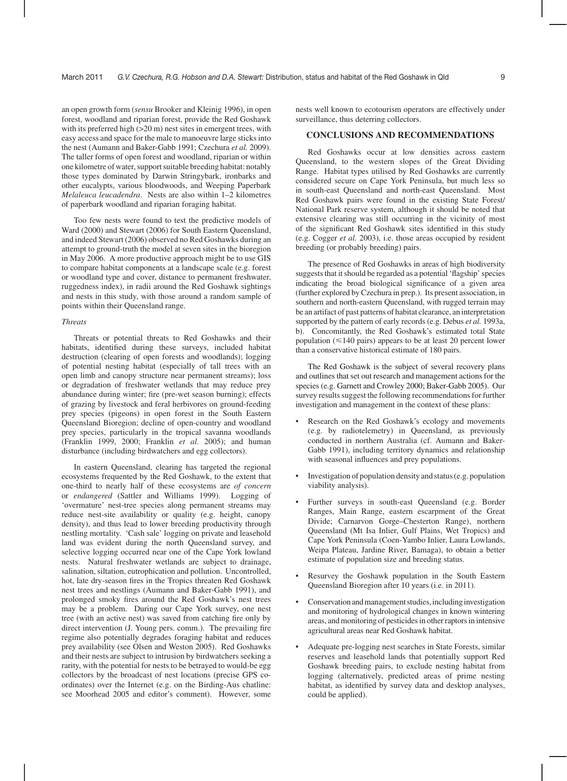an open growth form (*sensu* Brooker and Kleinig 1996), in open forest, woodland and riparian forest, provide the Red Goshawk with its preferred high ( $>20$  m) nest sites in emergent trees, with easy access and space for the male to manoeuvre large sticks into the nest (Aumann and Baker-Gabb 1991; Czechura *et al.* 2009). The taller forms of open forest and woodland, riparian or within one kilometre of water, support suitable breeding habitat: notably those types dominated by Darwin Stringybark, ironbarks and other eucalypts, various bloodwoods, and Weeping Paperbark *Melaleuca leucadendra*. Nests are also within 1–2 kilometres of paperbark woodland and riparian foraging habitat.

Too few nests were found to test the predictive models of Ward (2000) and Stewart (2006) for South Eastern Oueensland, and indeed Stewart (2006) observed no Red Goshawks during an attempt to ground-truth the model at seven sites in the bioregion in May 2006. A more productive approach might be to use GIS to compare habitat components at a landscape scale (e.g. forest or woodland type and cover, distance to permanent freshwater, ruggedness index), in radii around the Red Goshawk sightings and nests in this study, with those around a random sample of points within their Queensland range.

#### *Threats*

Threats or potential threats to Red Goshawks and their habitats, identified during these surveys, included habitat destruction (clearing of open forests and woodlands); logging of potential nesting habitat (especially of tall trees with an open limb and canopy structure near permanent streams); loss or degradation of freshwater wetlands that may reduce prey abundance during winter; fire (pre-wet season burning); effects of grazing by livestock and feral herbivores on ground-feeding prey species (pigeons) in open forest in the South Eastern Queensland Bioregion; decline of open-country and woodland prey species, particularly in the tropical savanna woodlands (Franklin 1999, 2000; Franklin *et al.* 2005); and human disturbance (including birdwatchers and egg collectors).

In eastern Queensland, clearing has targeted the regional ecosystems frequented by the Red Goshawk, to the extent that one-third to nearly half of these ecosystems are *of concern* or *endangered* (Sattler and Williams 1999). Logging of 'overmature' nest-tree species along permanent streams may reduce nest-site availability or quality (e.g. height, canopy density), and thus lead to lower breeding productivity through nestling mortality. 'Cash sale' logging on private and leasehold land was evident during the north Queensland survey, and selective logging occurred near one of the Cape York lowland nests. Natural freshwater wetlands are subject to drainage, salination, siltation, eutrophication and pollution. Uncontrolled, hot, late dry-season fires in the Tropics threaten Red Goshawk nest trees and nestlings (Aumann and Baker-Gabb 1991), and prolonged smoky fires around the Red Goshawk's nest trees may be a problem. During our Cape York survey, one nest tree (with an active nest) was saved from catching fire only by direct intervention (J. Young pers. comm.). The prevailing fire regime also potentially degrades foraging habitat and reduces prey availability (see Olsen and Weston 2005). Red Goshawks and their nests are subject to intrusion by birdwatchers seeking a rarity, with the potential for nests to be betrayed to would-be egg collectors by the broadcast of nest locations (precise GPS coordinates) over the Internet (e.g. on the Birding-Aus chatline: see Moorhead 2005 and editor's comment). However, some nests well known to ecotourism operators are effectively under surveillance, thus deterring collectors.

# **CONCLUSIONS AND RECOMMENDATIONS**

Red Goshawks occur at low densities across eastern Queensland, to the western slopes of the Great Dividing Range. Habitat types utilised by Red Goshawks are currently considered secure on Cape York Peninsula, but much less so in south-east Queensland and north-east Queensland. Most Red Goshawk pairs were found in the existing State Forest/ National Park reserve system, although it should be noted that extensive clearing was still occurring in the vicinity of most of the significant Red Goshawk sites identified in this study (e.g. Cogger *et al.* 2003), i.e. those areas occupied by resident breeding (or probably breeding) pairs.

The presence of Red Goshawks in areas of high biodiversity suggests that it should be regarded as a potential 'flagship' species indicating the broad biological significance of a given area (further explored by Czechura in prep.). Its present association, in southern and north-eastern Queensland, with rugged terrain may be an artifact of past patterns of habitat clearance, an interpretation supported by the pattern of early records (e.g. Debus *et al.* 1993a, b). Concomitantly, the Red Goshawk's estimated total State population ( $\leq$ 140 pairs) appears to be at least 20 percent lower than a conservative historical estimate of 180 pairs.

The Red Goshawk is the subject of several recovery plans and outlines that set out research and management actions for the species (e.g. Garnett and Crowley 2000; Baker-Gabb 2005). Our survey results suggest the following recommendations for further investigation and management in the context of these plans:

- Research on the Red Goshawk's ecology and movements (e.g. by radiotelemetry) in Queensland, as previously conducted in northern Australia (cf. Aumann and Baker-Gabb 1991), including territory dynamics and relationship with seasonal influences and prey populations.
- Investigation of population density and status (e.g. population viability analysis).
- Further surveys in south-east Queensland (e.g. Border Ranges, Main Range, eastern escarpment of the Great Divide; Carnarvon Gorge–Chesterton Range), northern Queensland (Mt Isa Inlier, Gulf Plains, Wet Tropics) and Cape York Peninsula (Coen-Yambo Inlier, Laura Lowlands, Weipa Plateau, Jardine River, Bamaga), to obtain a better estimate of population size and breeding status.
- Resurvey the Goshawk population in the South Eastern Queensland Bioregion after 10 years (i.e. in 2011).
- Conservation and management studies, including investigation and monitoring of hydrological changes in known wintering areas, and monitoring of pesticides in other raptors in intensive agricultural areas near Red Goshawk habitat.
- Adequate pre-logging nest searches in State Forests, similar reserves and leasehold lands that potentially support Red Goshawk breeding pairs, to exclude nesting habitat from logging (alternatively, predicted areas of prime nesting habitat, as identified by survey data and desktop analyses, could be applied).